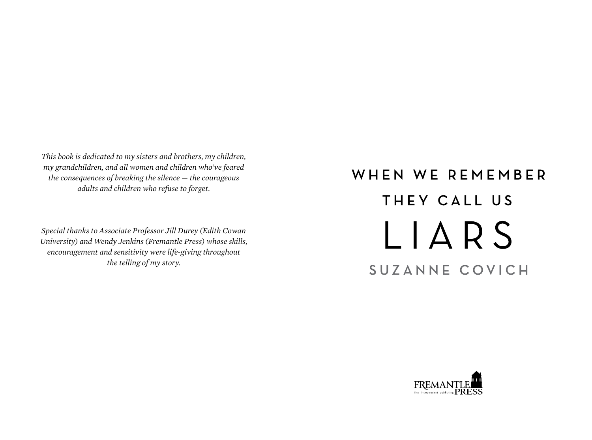*This book is dedicated to my sisters and brothers, my children, my grandchildren, and all women and children who've feared the consequences of breaking the silence* — *the courageous adults and children who refuse to forget.*

*Special thanks to Associate Professor Jill Durey (Edith Cowan University) and Wendy Jenkins (Fremantle Press) whose skills, encouragement and sensitivity were life-giving throughout the telling of my story.*

## WHEN WE REMEMBER THEY CALL US LIARS SUZANNE COVICH

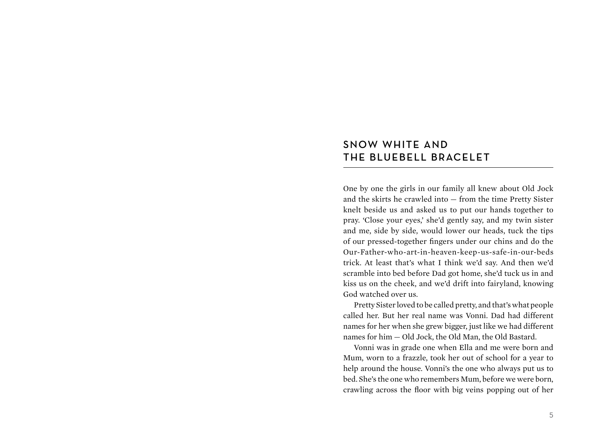## SNOW WHITE AND THE BLUEBELL BRACELET

One by one the girls in our family all knew about Old Jock and the skirts he crawled into — from the time Pretty Sister knelt beside us and asked us to put our hands together to pray. 'Close your eyes,' she'd gently say, and my twin sister and me, side by side, would lower our heads, tuck the tips of our pressed-together fingers under our chins and do the Our-Father-who-art-in-heaven-keep-us-safe-in-our-beds trick. At least that's what I think we'd say. And then we'd scramble into bed before Dad got home, she'd tuck us in and kiss us on the cheek, and we'd drift into fairyland, knowing God watched over us.

Pretty Sister loved to be called pretty, and that's what people called her. But her real name was Vonni. Dad had different names for her when she grew bigger, just like we had different names for him — Old Jock, the Old Man, the Old Bastard.

Vonni was in grade one when Ella and me were born and Mum, worn to a frazzle, took her out of school for a year to help around the house. Vonni's the one who always put us to bed. She's the one who remembers Mum, before we were born, crawling across the floor with big veins popping out of her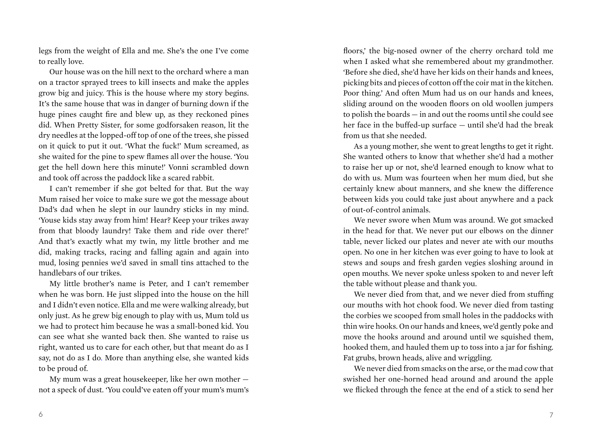legs from the weight of Ella and me. She's the one I've come to really love.

Our house was on the hill next to the orchard where a man on a tractor sprayed trees to kill insects and make the apples grow big and juicy. This is the house where my story begins. It's the same house that was in danger of burning down if the huge pines caught fire and blew up, as they reckoned pines did. When Pretty Sister, for some godforsaken reason, lit the dry needles at the lopped-off top of one of the trees, she pissed on it quick to put it out. 'What the fuck!' Mum screamed, as she waited for the pine to spew flames all over the house. 'You get the hell down here this minute!' Vonni scrambled down and took off across the paddock like a scared rabbit.

I can't remember if she got belted for that. But the way Mum raised her voice to make sure we got the message about Dad's dad when he slept in our laundry sticks in my mind. 'Youse kids stay away from him! Hear? Keep your trikes away from that bloody laundry! Take them and ride over there!' And that's exactly what my twin, my little brother and me did, making tracks, racing and falling again and again into mud, losing pennies we'd saved in small tins attached to the handlebars of our trikes.

My little brother's name is Peter, and I can't remember when he was born. He just slipped into the house on the hill and I didn't even notice. Ella and me were walking already, but only just. As he grew big enough to play with us, Mum told us we had to protect him because he was a small-boned kid. You can see what she wanted back then. She wanted to raise us right, wanted us to care for each other, but that meant do as I say, not do as I do. More than anything else, she wanted kids to be proud of.

My mum was a great housekeeper, like her own mother not a speck of dust. 'You could've eaten off your mum's mum's

floors,' the big-nosed owner of the cherry orchard told me when I asked what she remembered about my grandmother. 'Before she died, she'd have her kids on their hands and knees, picking bits and pieces of cotton off the coir mat in the kitchen. Poor thing.' And often Mum had us on our hands and knees, sliding around on the wooden floors on old woollen jumpers to polish the boards — in and out the rooms until she could see her face in the buffed-up surface — until she'd had the break from us that she needed.

As a young mother, she went to great lengths to get it right. She wanted others to know that whether she'd had a mother to raise her up or not, she'd learned enough to know what to do with us. Mum was fourteen when her mum died, but she certainly knew about manners, and she knew the difference between kids you could take just about anywhere and a pack of out-of-control animals.

We never swore when Mum was around. We got smacked in the head for that. We never put our elbows on the dinner table, never licked our plates and never ate with our mouths open. No one in her kitchen was ever going to have to look at stews and soups and fresh garden vegies sloshing around in open mouths. We never spoke unless spoken to and never left the table without please and thank you.

We never died from that, and we never died from stuffing our mouths with hot chook food. We never died from tasting the corbies we scooped from small holes in the paddocks with thin wire hooks. On our hands and knees, we'd gently poke and move the hooks around and around until we squished them, hooked them, and hauled them up to toss into a jar for fishing. Fat grubs, brown heads, alive and wriggling.

We never died from smacks on the arse, or the mad cow that swished her one-horned head around and around the apple we flicked through the fence at the end of a stick to send her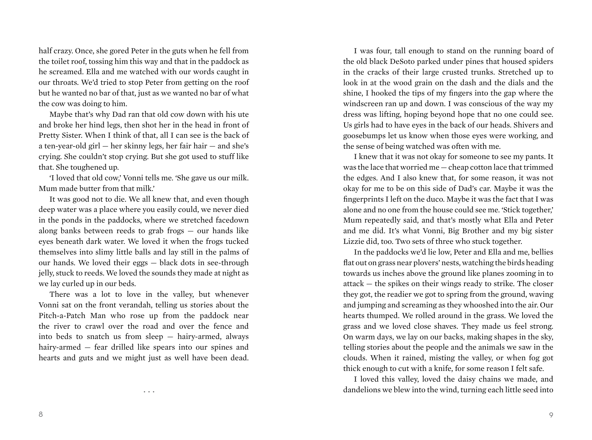half crazy. Once, she gored Peter in the guts when he fell from the toilet roof, tossing him this way and that in the paddock as he screamed. Ella and me watched with our words caught in our throats. We'd tried to stop Peter from getting on the roof but he wanted no bar of that, just as we wanted no bar of what the cow was doing to him.

Maybe that's why Dad ran that old cow down with his ute and broke her hind legs, then shot her in the head in front of Pretty Sister. When I think of that, all I can see is the back of a ten-year-old girl — her skinny legs, her fair hair — and she's crying. She couldn't stop crying. But she got used to stuff like that. She toughened up.

'I loved that old cow,' Vonni tells me. 'She gave us our milk. Mum made butter from that milk.'

It was good not to die. We all knew that, and even though deep water was a place where you easily could, we never died in the ponds in the paddocks, where we stretched facedown along banks between reeds to grab frogs — our hands like eyes beneath dark water. We loved it when the frogs tucked themselves into slimy little balls and lay still in the palms of our hands. We loved their eggs — black dots in see-through jelly, stuck to reeds. We loved the sounds they made at night as we lay curled up in our beds.

There was a lot to love in the valley, but whenever Vonni sat on the front verandah, telling us stories about the Pitch-a-Patch Man who rose up from the paddock near the river to crawl over the road and over the fence and into beds to snatch us from sleep — hairy-armed, always hairy-armed — fear drilled like spears into our spines and hearts and guts and we might just as well have been dead.

...

I was four, tall enough to stand on the running board of the old black DeSoto parked under pines that housed spiders in the cracks of their large crusted trunks. Stretched up to look in at the wood grain on the dash and the dials and the shine, I hooked the tips of my fingers into the gap where the windscreen ran up and down. I was conscious of the way my dress was lifting, hoping beyond hope that no one could see. Us girls had to have eyes in the back of our heads. Shivers and goosebumps let us know when those eyes were working, and the sense of being watched was often with me.

I knew that it was not okay for someone to see my pants. It was the lace that worried me — cheap cotton lace that trimmed the edges. And I also knew that, for some reason, it was not okay for me to be on this side of Dad's car. Maybe it was the fingerprints I left on the duco. Maybe it was the fact that I was alone and no one from the house could see me. 'Stick together,' Mum repeatedly said, and that's mostly what Ella and Peter and me did. It's what Vonni, Big Brother and my big sister Lizzie did, too. Two sets of three who stuck together.

In the paddocks we'd lie low, Peter and Ella and me, bellies flat out on grass near plovers' nests, watching the birds heading towards us inches above the ground like planes zooming in to attack — the spikes on their wings ready to strike. The closer they got, the readier we got to spring from the ground, waving and jumping and screaming as they whooshed into the air. Our hearts thumped. We rolled around in the grass. We loved the grass and we loved close shaves. They made us feel strong. On warm days, we lay on our backs, making shapes in the sky, telling stories about the people and the animals we saw in the clouds. When it rained, misting the valley, or when fog got thick enough to cut with a knife, for some reason I felt safe.

I loved this valley, loved the daisy chains we made, and dandelions we blew into the wind, turning each little seed into